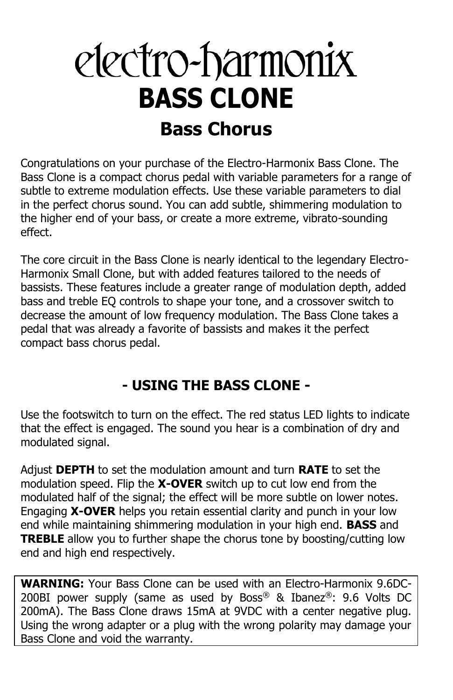# electro-harmonix **BASS CLONE Bass Chorus**

Congratulations on your purchase of the Electro-Harmonix Bass Clone. The Bass Clone is a compact chorus pedal with variable parameters for a range of subtle to extreme modulation effects. Use these variable parameters to dial in the perfect chorus sound. You can add subtle, shimmering modulation to the higher end of your bass, or create a more extreme, vibrato-sounding effect.

The core circuit in the Bass Clone is nearly identical to the legendary Electro-Harmonix Small Clone, but with added features tailored to the needs of bassists. These features include a greater range of modulation depth, added bass and treble EQ controls to shape your tone, and a crossover switch to decrease the amount of low frequency modulation. The Bass Clone takes a pedal that was already a favorite of bassists and makes it the perfect compact bass chorus pedal.

### **- USING THE BASS CLONE -**

Use the footswitch to turn on the effect. The red status LED lights to indicate that the effect is engaged. The sound you hear is a combination of dry and modulated signal.

Adjust **DEPTH** to set the modulation amount and turn **RATE** to set the modulation speed. Flip the **X-OVER** switch up to cut low end from the modulated half of the signal; the effect will be more subtle on lower notes. Engaging **X-OVER** helps you retain essential clarity and punch in your low end while maintaining shimmering modulation in your high end. **BASS** and **TREBLE** allow you to further shape the chorus tone by boosting/cutting low end and high end respectively.

**WARNING:** Your Bass Clone can be used with an Electro-Harmonix 9.6DC-200BI power supply (same as used by Boss® & Ibanez®: 9.6 Volts DC 200mA). The Bass Clone draws 15mA at 9VDC with a center negative plug. Using the wrong adapter or a plug with the wrong polarity may damage your Bass Clone and void the warranty.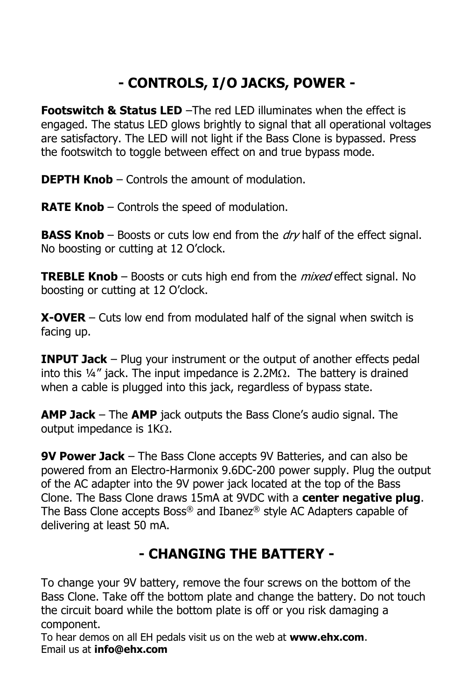## **- CONTROLS, I/O JACKS, POWER -**

**Footswitch & Status LED** –The red LED illuminates when the effect is engaged. The status LED glows brightly to signal that all operational voltages are satisfactory. The LED will not light if the Bass Clone is bypassed. Press the footswitch to toggle between effect on and true bypass mode.

**DEPTH Knob** – Controls the amount of modulation.

**RATE Knob** – Controls the speed of modulation.

**BASS Knob** – Boosts or cuts low end from the *dry* half of the effect signal. No boosting or cutting at 12 O'clock.

**TREBLE Knob** – Boosts or cuts high end from the mixed effect signal. No boosting or cutting at 12 O'clock.

**X-OVER** – Cuts low end from modulated half of the signal when switch is facing up.

**INPUT Jack** – Plug your instrument or the output of another effects pedal into this  $\frac{1}{4}$ " jack. The input impedance is 2.2M $\Omega$ . The battery is drained when a cable is plugged into this jack, regardless of bypass state.

**AMP Jack** – The **AMP** jack outputs the Bass Clone's audio signal. The output impedance is  $1K\Omega$ .

**9V Power Jack** – The Bass Clone accepts 9V Batteries, and can also be powered from an Electro-Harmonix 9.6DC-200 power supply. Plug the output of the AC adapter into the 9V power jack located at the top of the Bass Clone. The Bass Clone draws 15mA at 9VDC with a **center negative plug**. The Bass Clone accepts Boss® and Ibanez® style AC Adapters capable of delivering at least 50 mA.

### **- CHANGING THE BATTERY -**

To change your 9V battery, remove the four screws on the bottom of the Bass Clone. Take off the bottom plate and change the battery. Do not touch the circuit board while the bottom plate is off or you risk damaging a component.

To hear demos on all EH pedals visit us on the web at **www.ehx.com**. Email us at **info@ehx.com**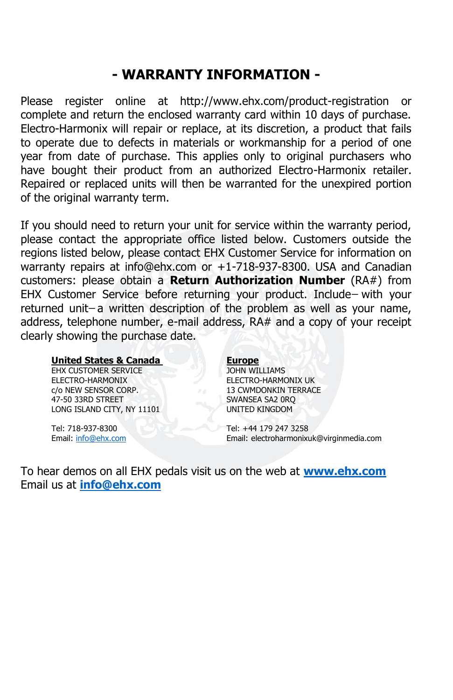#### **- WARRANTY INFORMATION -**

Please register online at http://www.ehx.com/product-registration or complete and return the enclosed warranty card within 10 days of purchase. Electro-Harmonix will repair or replace, at its discretion, a product that fails to operate due to defects in materials or workmanship for a period of one year from date of purchase. This applies only to original purchasers who have bought their product from an authorized Electro-Harmonix retailer. Repaired or replaced units will then be warranted for the unexpired portion of the original warranty term.

If you should need to return your unit for service within the warranty period, please contact the appropriate office listed below. Customers outside the regions listed below, please contact EHX Customer Service for information on warranty repairs at info@ehx.com or +1-718-937-8300. USA and Canadian customers: please obtain a **Return Authorization Number** (RA#) from EHX Customer Service before returning your product. Include-with your returned unit-a written description of the problem as well as your name, address, telephone number, e-mail address, RA# and a copy of your receipt clearly showing the purchase date.

#### **United States & Canada Europe**

EHX CUSTOMER SERVICE JOHN WILLIAMS ELECTRO-HARMONIX ELECTRO-HARMONIX UK c/o NEW SENSOR CORP. 13 CWMDONKIN TERRACE 47-50 33RD STREET SWANSEA SA2 0RO LONG ISLAND CITY, NY 11101 UNITED KINGDOM

Tel: 718-937-8300 Tel: +44 179 247 3258 Email[: info@ehx.com](mailto:info@ehx.com) Email: electroharmonixuk@virginmedia.com

To hear demos on all EHX pedals visit us on the web at **www.ehx.com** Email us at **info@ehx.com**